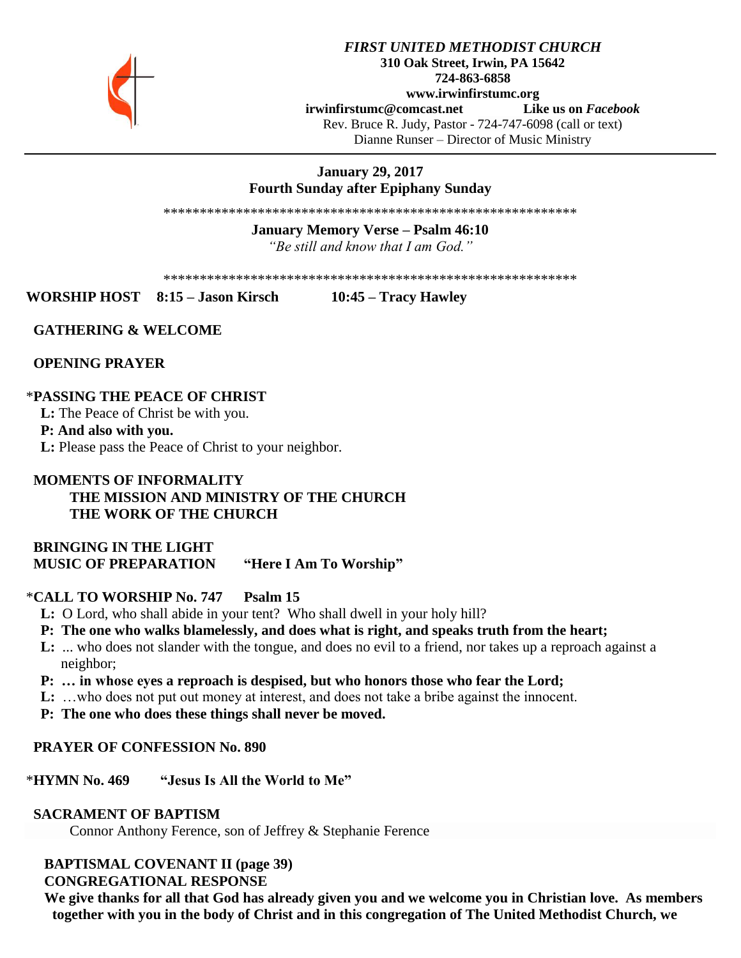

## *FIRST UNITED METHODIST CHURCH* **310 Oak Street, Irwin, PA 15642 724-863-6858 www.irwinfirstumc.org [irwinfirstumc@comcast.net](mailto:irwinfirstumc@comcast.net) Like us on** *Facebook* Rev. Bruce R. Judy, Pastor - 724-747-6098 (call or text) Dianne Runser – Director of Music Ministry

# **January 29, 2017 Fourth Sunday after Epiphany Sunday**

\*\*\*\*\*\*\*\*\*\*\*\*\*\*\*\*\*\*\*\*\*\*\*\*\*\*\*\*\*\*\*\*\*\*\*\*\*\*\*\*\*\*\*\*\*\*\*\*\*\*\*\*\*\*\*\*\*

## **January Memory Verse – Psalm 46:10** *"Be still and know that I am God."*

\*\*\*\*\*\*\*\*\*\*\*\*\*\*\*\*\*\*\*\*\*\*\*\*\*\*\*\*\*\*\*\*\*\*\*\*\*\*\*\*\*\*\*\*\*\*\*\*\*\*\*\*\*\*\*\*\*

**WORSHIP HOST 8:15 – Jason Kirsch 10:45 – Tracy Hawley**

## **GATHERING & WELCOME**

 **OPENING PRAYER**

## \***PASSING THE PEACE OF CHRIST**

 **L:** The Peace of Christ be with you.

#### **P: And also with you.**

 **L:** Please pass the Peace of Christ to your neighbor.

# **MOMENTS OF INFORMALITY THE MISSION AND MINISTRY OF THE CHURCH THE WORK OF THE CHURCH**

 **BRINGING IN THE LIGHT MUSIC OF PREPARATION "Here I Am To Worship"**

## \***CALL TO WORSHIP No. 747 Psalm 15**

- **L:** O Lord, who shall abide in your tent? Who shall dwell in your holy hill?
- **P: The one who walks blamelessly, and does what is right, and speaks truth from the heart;**
- **L:** ... who does not slander with the tongue, and does no evil to a friend, nor takes up a reproach against a neighbor;
- **P: … in whose eyes a reproach is despised, but who honors those who fear the Lord;**
- **L:** …who does not put out money at interest, and does not take a bribe against the innocent.
- **P: The one who does these things shall never be moved.**

#### **PRAYER OF CONFESSION No. 890**

#### \***HYMN No. 469 "Jesus Is All the World to Me"**

#### **SACRAMENT OF BAPTISM**

Connor Anthony Ference, son of Jeffrey & Stephanie Ference

# **BAPTISMAL COVENANT II (page 39)**

 **CONGREGATIONAL RESPONSE**

 **We give thanks for all that God has already given you and we welcome you in Christian love. As members together with you in the body of Christ and in this congregation of The United Methodist Church, we**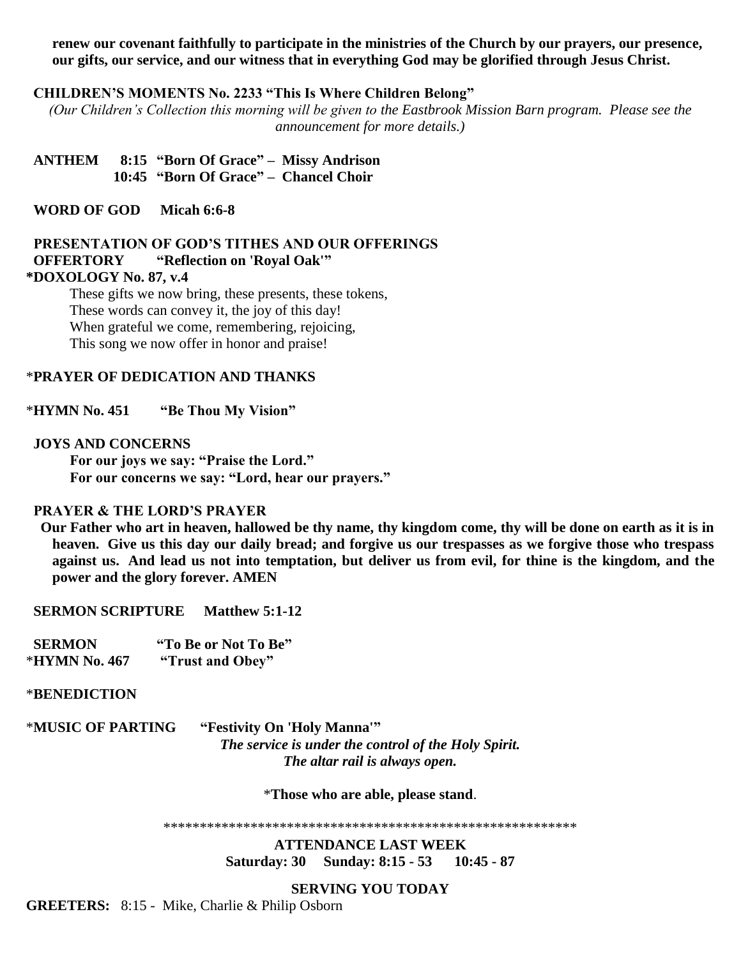**renew our covenant faithfully to participate in the ministries of the Church by our prayers, our presence, our gifts, our service, and our witness that in everything God may be glorified through Jesus Christ.**

#### **CHILDREN'S MOMENTS No. 2233 "This Is Where Children Belong"**

*(Our Children's Collection this morning will be given to the Eastbrook Mission Barn program. Please see the announcement for more details.)*

 **ANTHEM 8:15 "Born Of Grace" – Missy Andrison 10:45 "Born Of Grace" – Chancel Choir**

 **WORD OF GOD Micah 6:6-8**

## **PRESENTATION OF GOD'S TITHES AND OUR OFFERINGS OFFERTORY "Reflection on 'Royal Oak'" \*DOXOLOGY No. 87, v.4**

These gifts we now bring, these presents, these tokens, These words can convey it, the joy of this day! When grateful we come, remembering, rejoicing, This song we now offer in honor and praise!

#### \***PRAYER OF DEDICATION AND THANKS**

\***HYMN No. 451 "Be Thou My Vision"**

#### **JOYS AND CONCERNS**

**For our joys we say: "Praise the Lord." For our concerns we say: "Lord, hear our prayers."**

#### **PRAYER & THE LORD'S PRAYER**

 **Our Father who art in heaven, hallowed be thy name, thy kingdom come, thy will be done on earth as it is in heaven. Give us this day our daily bread; and forgive us our trespasses as we forgive those who trespass against us. And lead us not into temptation, but deliver us from evil, for thine is the kingdom, and the power and the glory forever. AMEN**

 **SERMON SCRIPTURE Matthew 5:1-12**

| <b>SERMON</b> | "To Be or Not To Be" |
|---------------|----------------------|
| *HYMN No. 467 | "Trust and Obey"     |

#### \***BENEDICTION**

\***MUSIC OF PARTING "Festivity On 'Holy Manna'"** *The service is under the control of the Holy Spirit. The altar rail is always open.*

\***Those who are able, please stand**.

\*\*\*\*\*\*\*\*\*\*\*\*\*\*\*\*\*\*\*\*\*\*\*\*\*\*\*\*\*\*\*\*\*\*\*\*\*\*\*\*\*\*\*\*\*\*\*\*\*\*\*\*\*\*\*\*\*

**ATTENDANCE LAST WEEK Saturday: 30 Sunday: 8:15 - 53 10:45 - 87**

#### **SERVING YOU TODAY**

**GREETERS:** 8:15 - Mike, Charlie & Philip Osborn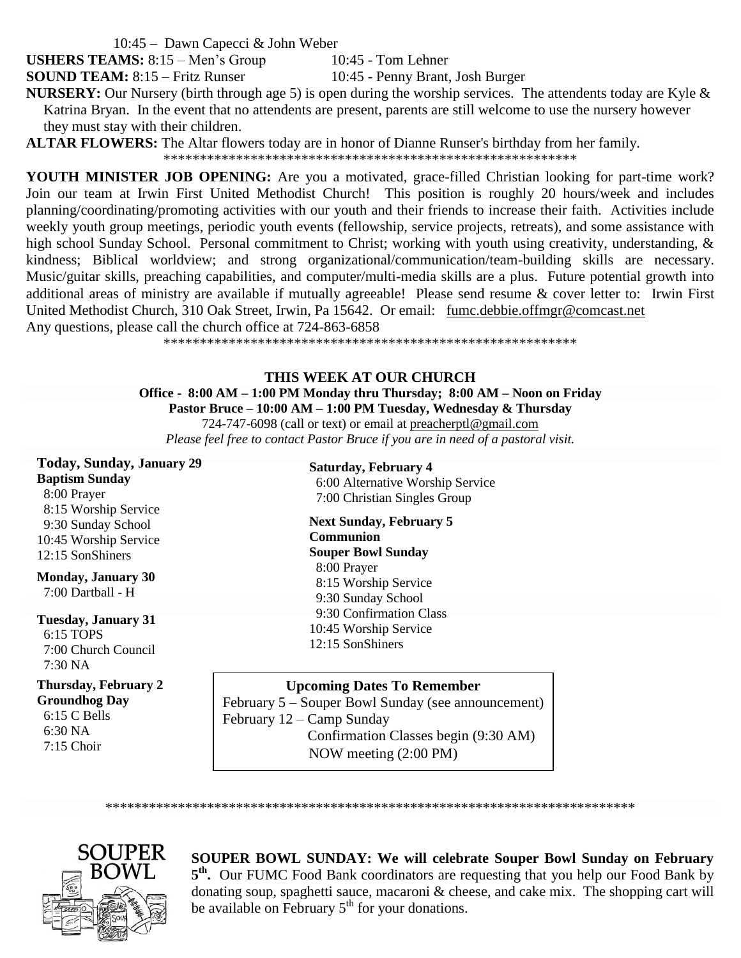10:45 – Dawn Capecci & John Weber

**USHERS TEAMS:** 8:15 – Men's Group 10:45 - Tom Lehner

**SOUND TEAM:** 8:15 – Fritz Runser 10:45 - Penny Brant, Josh Burger

**NURSERY:** Our Nursery (birth through age 5) is open during the worship services. The attendents today are Kyle & Katrina Bryan. In the event that no attendents are present, parents are still welcome to use the nursery however they must stay with their children.

**ALTAR FLOWERS:** The Altar flowers today are in honor of Dianne Runser's birthday from her family.

\*\*\*\*\*\*\*\*\*\*\*\*\*\*\*\*\*\*\*\*\*\*\*\*\*\*\*\*\*\*\*\*\*\*\*\*\*\*\*\*\*\*\*\*\*\*\*\*\*\*\*\*\*\*\*\*\*

**YOUTH MINISTER JOB OPENING:** Are you a motivated, grace-filled Christian looking for part-time work? Join our team at Irwin First United Methodist Church! This position is roughly 20 hours/week and includes planning/coordinating/promoting activities with our youth and their friends to increase their faith. Activities include weekly youth group meetings, periodic youth events (fellowship, service projects, retreats), and some assistance with high school Sunday School. Personal commitment to Christ; working with youth using creativity, understanding, & kindness; Biblical worldview; and strong organizational/communication/team-building skills are necessary. Music/guitar skills, preaching capabilities, and computer/multi-media skills are a plus. Future potential growth into additional areas of ministry are available if mutually agreeable! Please send resume & cover letter to: Irwin First United Methodist Church, 310 Oak Street, Irwin, Pa 15642. Or email: [fumc.debbie.offmgr@comcast.net](mailto:fumc.debbie.offmgr@comcast.net)  Any questions, please call the church office at 724-863-6858

\*\*\*\*\*\*\*\*\*\*\*\*\*\*\*\*\*\*\*\*\*\*\*\*\*\*\*\*\*\*\*\*\*\*\*\*\*\*\*\*\*\*\*\*\*\*\*\*\*\*\*\*\*\*\*\*\*

# **THIS WEEK AT OUR CHURCH**

**Office - 8:00 AM – 1:00 PM Monday thru Thursday; 8:00 AM – Noon on Friday Pastor Bruce – 10:00 AM – 1:00 PM Tuesday, Wednesday & Thursday**

724-747-6098 (call or text) or email at [preacherptl@gmail.com](mailto:preacherptl@gmail.com)

*Please feel free to contact Pastor Bruce if you are in need of a pastoral visit.*

**Today, Sunday, January 29 Baptism Sunday** 8:00 Prayer 8:15 Worship Service 9:30 Sunday School 10:45 Worship Service 12:15 SonShiners

**Monday, January 30** 7:00 Dartball - H

**Tuesday, January 31** 6:15 TOPS 7:00 Church Council  $7:30\,\mathrm{NA}$ 

**Thursday, February 2 Groundhog Day** 6:15 C Bells

 6:30 NA 7:15 Choir **Saturday, February 4** 6:00 Alternative Worship Service 7:00 Christian Singles Group

**Next Sunday, February 5 Communion Souper Bowl Sunday** 8:00 Prayer 8:15 Worship Service 9:30 Sunday School 9:30 Confirmation Class 10:45 Worship Service 12:15 SonShiners

**Upcoming Dates To Remember**

February 5 – Souper Bowl Sunday (see announcement) February 12 – Camp Sunday Confirmation Classes begin (9:30 AM) NOW meeting (2:00 PM)

\*\*\*\*\*\*\*\*\*\*\*\*\*\*\*\*\*\*\*\*\*\*\*\*\*\*\*\*\*\*\*\*\*\*\*\*\*\*\*\*\*\*\*\*\*\*\*\*\*\*\*\*\*\*\*\*\*\*\*\*\*\*\*\*\*\*\*\*\*\*\*\*\*



**SOUPER BOWL SUNDAY: We will celebrate Souper Bowl Sunday on February**  5<sup>th</sup>. Our FUMC Food Bank coordinators are requesting that you help our Food Bank by donating soup, spaghetti sauce, macaroni  $\&$  cheese, and cake mix. The shopping cart will be available on February  $5<sup>th</sup>$  for your donations.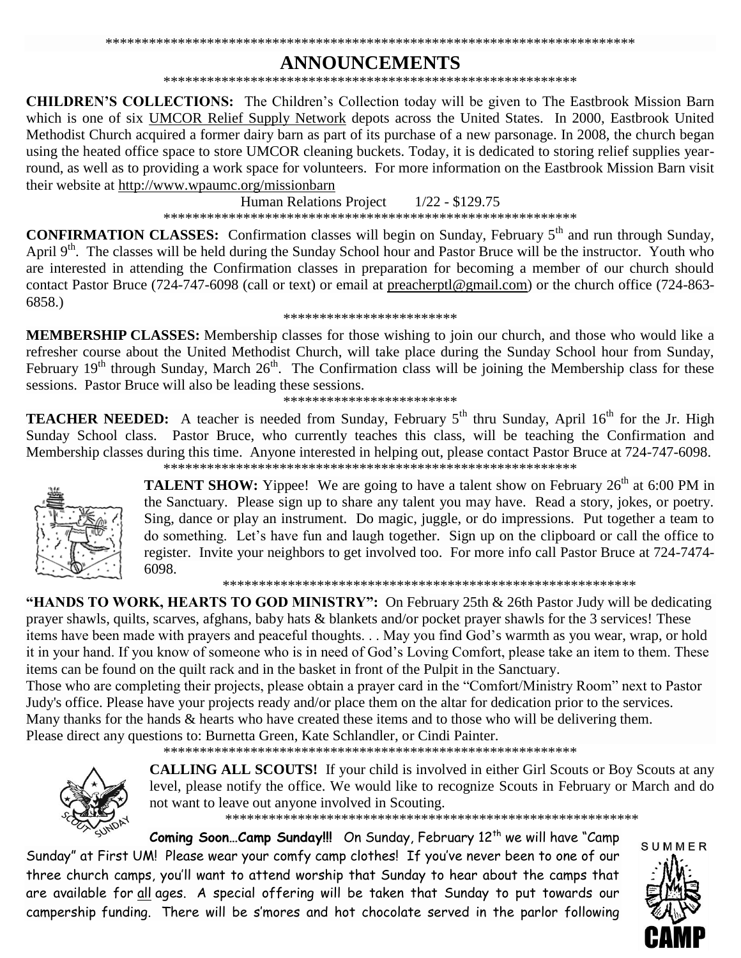# **ANNOUNCEMENTS**

**CHILDREN'S COLLECTIONS:** The Children's Collection today will be given to The Eastbrook Mission Barn which is one of six UMCOR Relief Supply Network depots across the United States. In 2000, Eastbrook United Methodist Church acquired a former dairy barn as part of its purchase of a new parsonage. In 2008, the church began using the heated office space to store UMCOR cleaning buckets. Today, it is dedicated to storing relief supplies yearround, as well as to providing a work space for volunteers. For more information on the Eastbrook Mission Barn visit their website at http://www.wpaumc.org/missionbarn

> **Human Relations Project**  $1/22 - $129.75$

**CONFIRMATION CLASSES:** Confirmation classes will begin on Sunday, February 5<sup>th</sup> and run through Sunday, April 9<sup>th</sup>. The classes will be held during the Sunday School hour and Pastor Bruce will be the instructor. Youth who are interested in attending the Confirmation classes in preparation for becoming a member of our church should contact Pastor Bruce (724-747-6098 (call or text) or email at preacherptl@gmail.com) or the church office (724-863- $6858.$ 

#### \*\*\*\*\*\*\*\*\*\*\*\*\*\*\*\*\*\*\*\*\*\*\*\*

**MEMBERSHIP CLASSES:** Membership classes for those wishing to join our church, and those who would like a refresher course about the United Methodist Church, will take place during the Sunday School hour from Sunday, February 19<sup>th</sup> through Sunday, March 26<sup>th</sup>. The Confirmation class will be joining the Membership class for these sessions. Pastor Bruce will also be leading these sessions.

\*\*\*\*\*\*\*\*\*\*\*\*\*\*\*\*\*\*\*\*\*\*\*\*

**TEACHER NEEDED:** A teacher is needed from Sunday, February 5<sup>th</sup> thru Sunday, April 16<sup>th</sup> for the Jr. High Sunday School class. Pastor Bruce, who currently teaches this class, will be teaching the Confirmation and Membership classes during this time. Anyone interested in helping out, please contact Pastor Bruce at 724-747-6098. 



**TALENT SHOW:** Yippee! We are going to have a talent show on February 26<sup>th</sup> at 6:00 PM in the Sanctuary. Please sign up to share any talent you may have. Read a story, jokes, or poetry. Sing, dance or play an instrument. Do magic, juggle, or do impressions. Put together a team to do something. Let's have fun and laugh together. Sign up on the clipboard or call the office to register. Invite your neighbors to get involved too. For more info call Pastor Bruce at 724-7474-6098.

"HANDS TO WORK, HEARTS TO GOD MINISTRY": On February 25th & 26th Pastor Judy will be dedicating prayer shawls, quilts, scarves, afghans, baby hats & blankets and/or pocket prayer shawls for the 3 services! These items have been made with prayers and peaceful thoughts... May you find God's warmth as you wear, wrap, or hold it in your hand. If you know of someone who is in need of God's Loving Comfort, please take an item to them. These items can be found on the quilt rack and in the basket in front of the Pulpit in the Sanctuary.

Those who are completing their projects, please obtain a prayer card in the "Comfort/Ministry Room" next to Pastor Judy's office. Please have your projects ready and/or place them on the altar for dedication prior to the services. Many thanks for the hands & hearts who have created these items and to those who will be delivering them. Please direct any questions to: Burnetta Green, Kate Schlandler, or Cindi Painter.



**CALLING ALL SCOUTS!** If your child is involved in either Girl Scouts or Boy Scouts at any level, please notify the office. We would like to recognize Scouts in February or March and do not want to leave out anyone involved in Scouting.

Coming Soon...Camp Sunday!!! On Sunday, February 12<sup>th</sup> we will have "Camp Sunday" at First UM! Please wear your comfy camp clothes! If you've never been to one of our three church camps, you'll want to attend worship that Sunday to hear about the camps that are available for all ages. A special offering will be taken that Sunday to put towards our campership funding. There will be s'mores and hot chocolate served in the parlor following